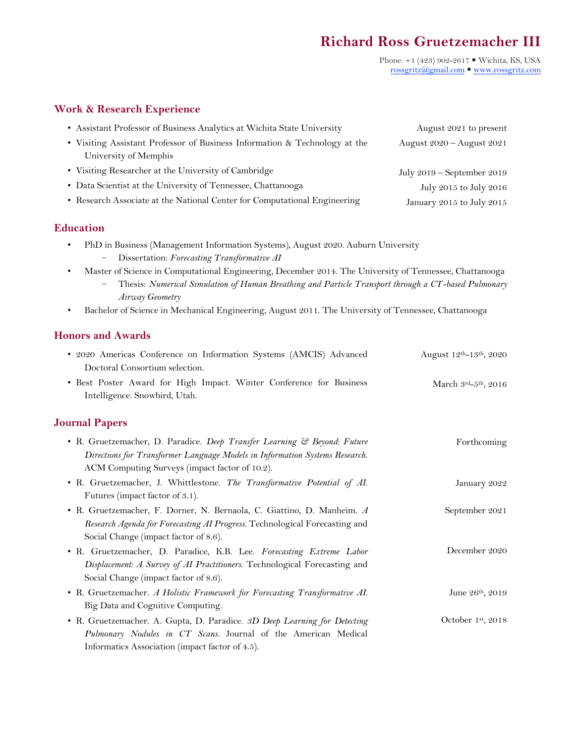## **Richard Ross Gruetzemacher III**

Phone: +1 (423) 902-2617 . Wichita, KS, USA rossgritz@gmail.com www.rossgritz.com

#### **Work & Research Experience**

| • Assistant Professor of Business Analytics at Wichita State University    | August 2021 to present         |
|----------------------------------------------------------------------------|--------------------------------|
| • Visiting Assistant Professor of Business Information & Technology at the | August 2020 – August 2021      |
| University of Memphis                                                      |                                |
| • Visiting Researcher at the University of Cambridge                       | July $2019$ – September $2019$ |
| • Data Scientist at the University of Tennessee, Chattanooga               | July 2015 to July 2016         |
| • Research Associate at the National Center for Computational Engineering  | January 2015 to July 2015      |

### **Education**

- PhD in Business (Management Information Systems), August 2020. Auburn University – Dissertation: *Forecasting Transformative AI*
- Master of Science in Computational Engineering, December 2014. The University of Tennessee, Chattanooga
	- Thesis: *Numerical Simulation of Human Breathing and Particle Transport through a CT-based Pulmonary Airway Geometry*
- Bachelor of Science in Mechanical Engineering, August 2011. The University of Tennessee, Chattanooga

### **Honors and Awards**

| · 2020 Americas Conference on Information Systems (AMCIS) Advanced<br>Doctoral Consortium selection.                                                                                                      | August 12th-13th, 2020 |
|-----------------------------------------------------------------------------------------------------------------------------------------------------------------------------------------------------------|------------------------|
| • Best Poster Award for High Impact. Winter Conference for Business<br>Intelligence. Snowbird, Utah.                                                                                                      | March 3rd-5th, 2016    |
| <b>Journal Papers</b>                                                                                                                                                                                     |                        |
| • R. Gruetzemacher, D. Paradice. Deep Transfer Learning & Beyond: Future<br>Directions for Transformer Language Models in Information Systems Research.<br>ACM Computing Surveys (impact factor of 10.2). | Forthcoming            |
| · R. Gruetzemacher, J. Whittlestone. The Transformative Potential of AI.<br>Futures (impact factor of 3.1).                                                                                               | January 2022           |
| · R. Gruetzemacher, F. Dorner, N. Bernaola, C. Giattino, D. Manheim. A<br>Research Agenda for Forecasting AI Progress. Technological Forecasting and<br>Social Change (impact factor of 8.6).             | September 2021         |
| · R. Gruetzemacher, D. Paradice, K.B. Lee. Forecasting Extreme Labor<br>Displacement: A Survey of AI Practitioners. Technological Forecasting and<br>Social Change (impact factor of 8.6).                | December 2020          |
| • R. Gruetzemacher. A Holistic Framework for Forecasting Transformative AI.<br>Big Data and Cognitive Computing.                                                                                          | June 26th, 2019        |
| • R. Gruetzemacher. A. Gupta, D. Paradice. 3D Deep Learning for Detecting<br>Pulmonary Nodules in CT Scans. Journal of the American Medical<br>Informatics Association (impact factor of 4.5).            | October 1st, 2018      |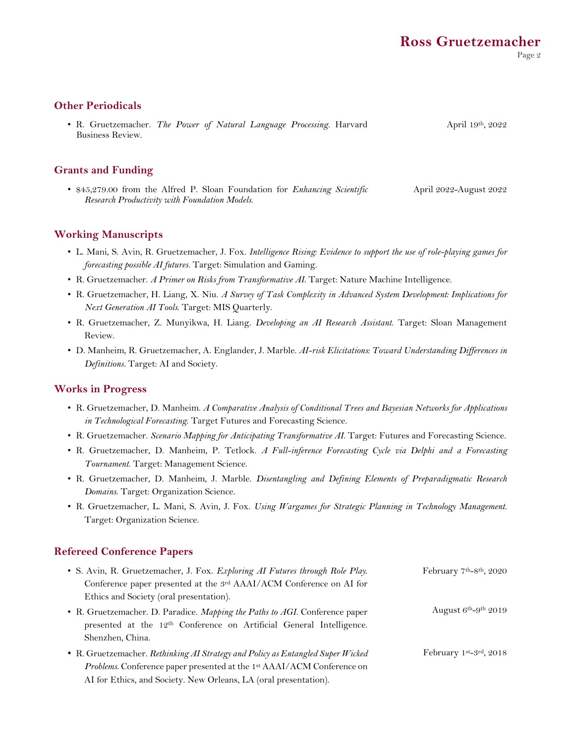#### **Other Periodicals**

• R. Gruetzemacher. *The Power of Natural Language Processing.* Harvard Business Review. April 19th, 2022

#### **Grants and Funding**

• \$45,279.00 from the Alfred P. Sloan Foundation for *Enhancing Scientific Research Productivity with Foundation Models*. April 2022-August 2022

#### **Working Manuscripts**

- L. Mani, S. Avin, R. Gruetzemacher, J. Fox. *Intelligence Rising: Evidence to support the use of role-playing games for forecasting possible AI futures.* Target: Simulation and Gaming.
- R. Gruetzemacher. *A Primer on Risks from Transformative AI.* Target: Nature Machine Intelligence.
- R. Gruetzemacher, H. Liang, X. Niu. *A Survey of Task Complexity in Advanced System Development: Implications for Next Generation AI Tools*. Target: MIS Quarterly.
- R. Gruetzemacher, Z. Munyikwa, H. Liang. *Developing an AI Research Assistant*. Target: Sloan Management Review.
- D. Manheim, R. Gruetzemacher, A. Englander, J. Marble. *AI-risk Elicitations: Toward Understanding Differences in Definitions.* Target: AI and Society.

#### **Works in Progress**

- R. Gruetzemacher, D. Manheim. *A Comparative Analysis of Conditional Trees and Bayesian Networks for Applications in Technological Forecasting*. Target Futures and Forecasting Science.
- R. Gruetzemacher. *Scenario Mapping for Anticipating Transformative AI*. Target: Futures and Forecasting Science.
- R. Gruetzemacher, D. Manheim, P. Tetlock. *A Full-inference Forecasting Cycle via Delphi and a Forecasting Tournament*. Target: Management Science.
- R. Gruetzemacher, D. Manheim, J. Marble. *Disentangling and Defining Elements of Preparadigmatic Research Domains*. Target: Organization Science.
- R. Gruetzemacher, L. Mani, S. Avin, J. Fox. *Using Wargames for Strategic Planning in Technology Management*. Target: Organization Science.

#### **Refereed Conference Papers**

| • S. Avin, R. Gruetzemacher, J. Fox. Exploring AI Futures through Role Play.                                                                                                                                                  | February $7th-8th$ , 2020             |
|-------------------------------------------------------------------------------------------------------------------------------------------------------------------------------------------------------------------------------|---------------------------------------|
| Conference paper presented at the 3rd AAAI/ACM Conference on AI for                                                                                                                                                           |                                       |
| Ethics and Society (oral presentation).                                                                                                                                                                                       |                                       |
| • R. Gruetzemacher. D. Paradice. Mapping the Paths to AGI. Conference paper<br>presented at the 12 <sup>th</sup> Conference on Artificial General Intelligence.<br>Shenzhen, China.                                           | August $6^{th}$ -9 <sup>th</sup> 2019 |
| • R. Gruetzemacher. Rethinking AI Strategy and Policy as Entangled Super Wicked<br>Problems. Conference paper presented at the 1st AAAI/ACM Conference on<br>AI for Ethics, and Society. New Orleans, LA (oral presentation). | February 1st-3rd, 2018                |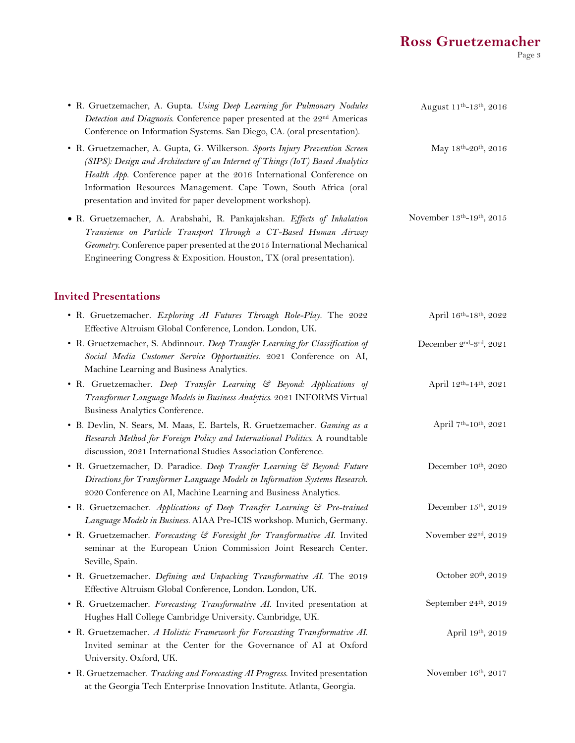# **Ross Gruetzemacher**

Page 3

| • R. Gruetzemacher, A. Gupta. Using Deep Learning for Pulmonary Nodules<br>Detection and Diagnosis. Conference paper presented at the 22nd Americas<br>Conference on Information Systems. San Diego, CA. (oral presentation).                                                                                                                                         | August 11 <sup>th</sup> -13 <sup>th</sup> , 2016 |
|-----------------------------------------------------------------------------------------------------------------------------------------------------------------------------------------------------------------------------------------------------------------------------------------------------------------------------------------------------------------------|--------------------------------------------------|
| • R. Gruetzemacher, A. Gupta, G. Wilkerson. Sports Injury Prevention Screen<br>(SIPS): Design and Architecture of an Internet of Things (IoT) Based Analytics<br>Health App. Conference paper at the 2016 International Conference on<br>Information Resources Management. Cape Town, South Africa (oral<br>presentation and invited for paper development workshop). | May 18th-20th, 2016                              |
| • R. Gruetzemacher, A. Arabshahi, R. Pankajakshan. Effects of Inhalation<br>Transience on Particle Transport Through a CT-Based Human Airway<br>Geometry. Conference paper presented at the 2015 International Mechanical<br>Engineering Congress & Exposition. Houston, TX (oral presentation).                                                                      | November 13th-19th, 2015                         |
| <b>Invited Presentations</b>                                                                                                                                                                                                                                                                                                                                          |                                                  |
| • R. Gruetzemacher. Exploring AI Futures Through Role-Play. The 2022<br>Effective Altruism Global Conference, London. London, UK.                                                                                                                                                                                                                                     | April 16th-18th, 2022                            |
| • R. Gruetzemacher, S. Abdinnour. Deep Transfer Learning for Classification of<br>Social Media Customer Service Opportunities. 2021 Conference on AI,<br>Machine Learning and Business Analytics.                                                                                                                                                                     | December 2 <sup>nd</sup> -3 <sup>rd</sup> , 2021 |
| • R. Gruetzemacher. Deep Transfer Learning & Beyond: Applications of<br>Transformer Language Models in Business Analytics. 2021 INFORMS Virtual<br>Business Analytics Conference.                                                                                                                                                                                     | April 12th-14th, 2021                            |
| · B. Devlin, N. Sears, M. Maas, E. Bartels, R. Gruetzemacher. Gaming as a<br>Research Method for Foreign Policy and International Politics. A roundtable<br>discussion, 2021 International Studies Association Conference.                                                                                                                                            | April 7th-10th, 2021                             |
| • R. Gruetzemacher, D. Paradice. Deep Transfer Learning & Beyond: Future<br>Directions for Transformer Language Models in Information Systems Research.<br>2020 Conference on AI, Machine Learning and Business Analytics.                                                                                                                                            | December 10 <sup>th</sup> , 2020                 |
| • R. Gruetzemacher. Applications of Deep Transfer Learning & Pre-trained<br>Language Models in Business. AIAA Pre-ICIS workshop. Munich, Germany.                                                                                                                                                                                                                     | December 15th, 2019                              |
| • R. Gruetzemacher. Forecasting & Foresight for Transformative AI. Invited<br>seminar at the European Union Commission Joint Research Center.<br>Seville, Spain.                                                                                                                                                                                                      | November 22 <sup>nd</sup> , 2019                 |
| • R. Gruetzemacher. Defining and Unpacking Transformative AI. The 2019<br>Effective Altruism Global Conference, London. London, UK.                                                                                                                                                                                                                                   | October 20th, 2019                               |
| • R. Gruetzemacher. Forecasting Transformative AI. Invited presentation at<br>Hughes Hall College Cambridge University. Cambridge, UK.                                                                                                                                                                                                                                | September 24 <sup>th</sup> , 2019                |
| • R. Gruetzemacher. A Holistic Framework for Forecasting Transformative AI.<br>Invited seminar at the Center for the Governance of AI at Oxford<br>University. Oxford, UK.                                                                                                                                                                                            | April 19th, 2019                                 |
| • R. Gruetzemacher. Tracking and Forecasting AI Progress. Invited presentation<br>at the Georgia Tech Enterprise Innovation Institute. Atlanta, Georgia.                                                                                                                                                                                                              | November $16th$ , 2017                           |